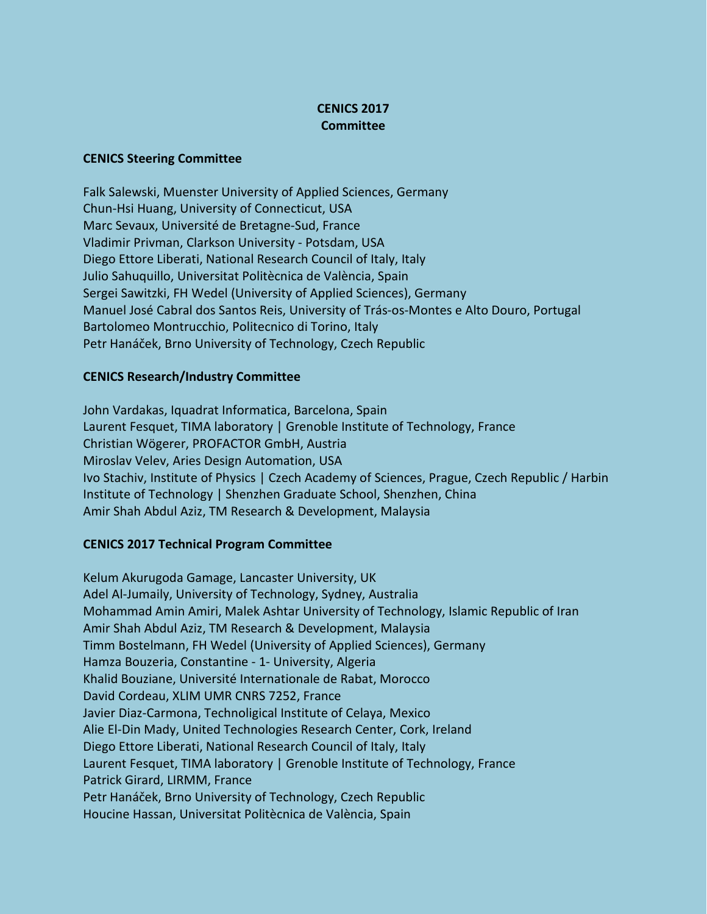## **CENICS 2017 Committee**

## **CENICS Steering Committee**

Falk Salewski, Muenster University of Applied Sciences, Germany Chun-Hsi Huang, University of Connecticut, USA Marc Sevaux, Université de Bretagne-Sud, France Vladimir Privman, Clarkson University - Potsdam, USA Diego Ettore Liberati, National Research Council of Italy, Italy Julio Sahuquillo, Universitat Politècnica de València, Spain Sergei Sawitzki, FH Wedel (University of Applied Sciences), Germany Manuel José Cabral dos Santos Reis, University of Trás-os-Montes e Alto Douro, Portugal Bartolomeo Montrucchio, Politecnico di Torino, Italy Petr Hanáček, Brno University of Technology, Czech Republic

## **CENICS Research/Industry Committee**

John Vardakas, Iquadrat Informatica, Barcelona, Spain Laurent Fesquet, TIMA laboratory | Grenoble Institute of Technology, France Christian Wögerer, PROFACTOR GmbH, Austria Miroslav Velev, Aries Design Automation, USA Ivo Stachiv, Institute of Physics | Czech Academy of Sciences, Prague, Czech Republic / Harbin Institute of Technology | Shenzhen Graduate School, Shenzhen, China Amir Shah Abdul Aziz, TM Research & Development, Malaysia

## **CENICS 2017 Technical Program Committee**

Kelum Akurugoda Gamage, Lancaster University, UK Adel Al-Jumaily, University of Technology, Sydney, Australia Mohammad Amin Amiri, Malek Ashtar University of Technology, Islamic Republic of Iran Amir Shah Abdul Aziz, TM Research & Development, Malaysia Timm Bostelmann, FH Wedel (University of Applied Sciences), Germany Hamza Bouzeria, Constantine - 1- University, Algeria Khalid Bouziane, Université Internationale de Rabat, Morocco David Cordeau, XLIM UMR CNRS 7252, France Javier Diaz-Carmona, Technoligical Institute of Celaya, Mexico Alie El-Din Mady, United Technologies Research Center, Cork, Ireland Diego Ettore Liberati, National Research Council of Italy, Italy Laurent Fesquet, TIMA laboratory | Grenoble Institute of Technology, France Patrick Girard, LIRMM, France Petr Hanáček, Brno University of Technology, Czech Republic Houcine Hassan, Universitat Politècnica de València, Spain